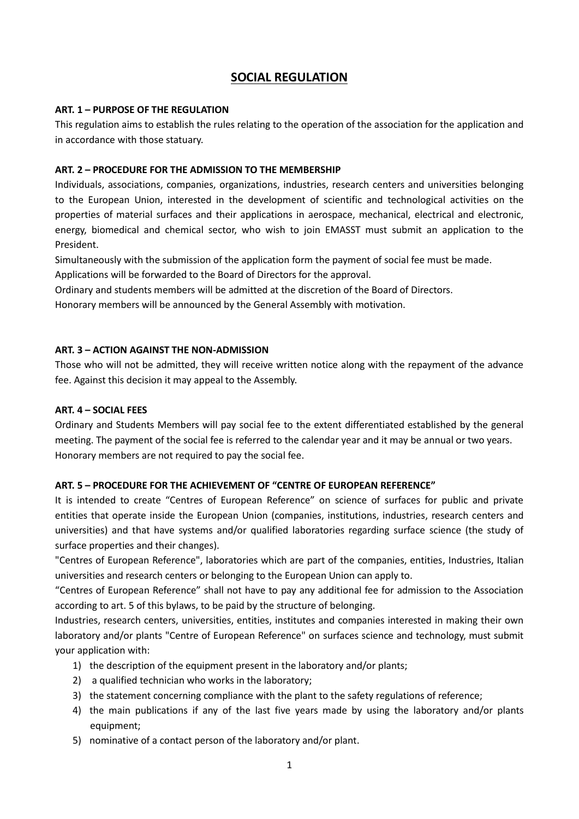# **SOCIAL REGULATION**

# **ART. 1 – PURPOSE OF THE REGULATION**

This regulation aims to establish the rules relating to the operation of the association for the application and in accordance with those statuary.

### **ART. 2 – PROCEDURE FOR THE ADMISSION TO THE MEMBERSHIP**

Individuals, associations, companies, organizations, industries, research centers and universities belonging to the European Union, interested in the development of scientific and technological activities on the properties of material surfaces and their applications in aerospace, mechanical, electrical and electronic, energy, biomedical and chemical sector, who wish to join EMASST must submit an application to the President.

Simultaneously with the submission of the application form the payment of social fee must be made.

Applications will be forwarded to the Board of Directors for the approval.

Ordinary and students members will be admitted at the discretion of the Board of Directors.

Honorary members will be announced by the General Assembly with motivation.

# **ART. 3 – ACTION AGAINST THE NON-ADMISSION**

Those who will not be admitted, they will receive written notice along with the repayment of the advance fee. Against this decision it may appeal to the Assembly.

### **ART. 4 – SOCIAL FEES**

Ordinary and Students Members will pay social fee to the extent differentiated established by the general meeting. The payment of the social fee is referred to the calendar year and it may be annual or two years. Honorary members are not required to pay the social fee.

#### **ART. 5 – PROCEDURE FOR THE ACHIEVEMENT OF "CENTRE OF EUROPEAN REFERENCE"**

It is intended to create "Centres of European Reference" on science of surfaces for public and private entities that operate inside the European Union (companies, institutions, industries, research centers and universities) and that have systems and/or qualified laboratories regarding surface science (the study of surface properties and their changes).

"Centres of European Reference", laboratories which are part of the companies, entities, Industries, Italian universities and research centers or belonging to the European Union can apply to.

"Centres of European Reference" shall not have to pay any additional fee for admission to the Association according to art. 5 of this bylaws, to be paid by the structure of belonging.

Industries, research centers, universities, entities, institutes and companies interested in making their own laboratory and/or plants "Centre of European Reference" on surfaces science and technology, must submit your application with:

- 1) the description of the equipment present in the laboratory and/or plants;
- 2) a qualified technician who works in the laboratory;
- 3) the statement concerning compliance with the plant to the safety regulations of reference;
- 4) the main publications if any of the last five years made by using the laboratory and/or plants equipment;
- 5) nominative of a contact person of the laboratory and/or plant.